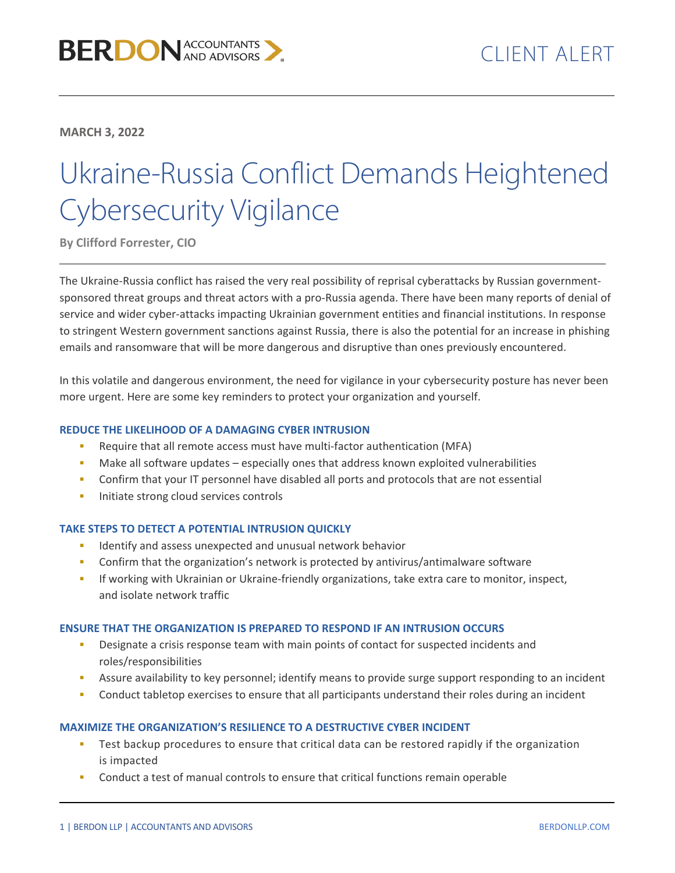**MARCH 3, 2022**

# Ukraine-Russia Conflict Demands Heightened Cybersecurity Vigilance

**By Clifford Forrester, CIO**

The Ukraine-Russia conflict has raised the very real possibility of reprisal cyberattacks by Russian governmentsponsored threat groups and threat actors with a pro-Russia agenda. There have been many reports of denial of service and wider cyber-attacks impacting Ukrainian government entities and financial institutions. In response to stringent Western government sanctions against Russia, there is also the potential for an increase in phishing emails and ransomware that will be more dangerous and disruptive than ones previously encountered.

In this volatile and dangerous environment, the need for vigilance in your cybersecurity posture has never been more urgent. Here are some key reminders to protect your organization and yourself.

# **REDUCE THE LIKELIHOOD OF A DAMAGING CYBER INTRUSION**

- Require that all remote access must have multi-factor authentication (MFA)
- Make all software updates especially ones that address known exploited vulnerabilities
- Confirm that your IT personnel have disabled all ports and protocols that are not essential
- **Initiate strong cloud services controls**

## **TAKE STEPS TO DETECT A POTENTIAL INTRUSION QUICKLY**

- Identify and assess unexpected and unusual network behavior
- Confirm that the organization's network is protected by antivirus/antimalware software
- If working with Ukrainian or Ukraine-friendly organizations, take extra care to monitor, inspect, and isolate network traffic

## **ENSURE THAT THE ORGANIZATION IS PREPARED TO RESPOND IF AN INTRUSION OCCURS**

- Designate a crisis response team with main points of contact for suspected incidents and roles/responsibilities
- Assure availability to key personnel; identify means to provide surge support responding to an incident
- **Conduct tabletop exercises to ensure that all participants understand their roles during an incident**

## **MAXIMIZE THE ORGANIZATION'S RESILIENCE TO A DESTRUCTIVE CYBER INCIDENT**

- Test backup procedures to ensure that critical data can be restored rapidly if the organization is impacted
- Conduct a test of manual controls to ensure that critical functions remain operable